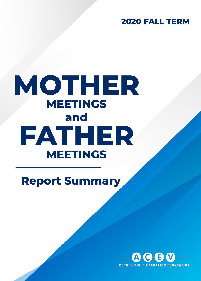**2020 FALL TERM** 

# **MOTHER MEETINGS and FATHER MEETINGS**

**Report Summary**

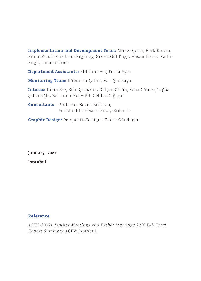**Implementation and Development Team:** Ahmet Çetin, Berk Erdem, Burcu Atlı, Deniz İrem Ergüney, Gizem Gül Taşçı, Hasan Deniz, Kadir Engil, Umman İrice

**Department Assistants:** Elif Tanrıver, Ferda Ayan

**Monitoring Team:** Kübranur Şahin, M. Uğur Kaya

**Interns:** Dilan Efe, Esin Çalışkan, Gülşen Sülün, Sena Günler, Tuğba Şabanoğlu, Zehranur Koçyiğit, Zeliha Dağaşar

**Consultants:** Professor Sevda Bekman, Assistant Professor Ersoy Erdemir

**Graphic Design:** Perspektif Design - Erkan Gündogan

**January 2022 İstanbul**

# **Reference:**

AÇEV (2022). Mother Meetings and Father Meetings 2020 Fall Term Report Summary. AÇEV: İstanbul.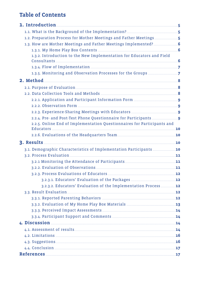# **Table of Contents**

| 1. Introduction 5                                                       |     |
|-------------------------------------------------------------------------|-----|
|                                                                         |     |
|                                                                         |     |
|                                                                         |     |
|                                                                         |     |
| 1.3.2. Introduction to the New Implementation for Educators and Field   |     |
|                                                                         |     |
|                                                                         |     |
|                                                                         |     |
|                                                                         |     |
|                                                                         |     |
|                                                                         |     |
|                                                                         |     |
|                                                                         |     |
|                                                                         |     |
| 2.2.5. Online End of Implementation Questionnaires for Participants and |     |
|                                                                         |     |
|                                                                         |     |
| 3.1. Demographic Characteristics of Implementation Participants  10     |     |
|                                                                         |     |
|                                                                         |     |
|                                                                         |     |
|                                                                         |     |
|                                                                         | .12 |
| 3.2.3.2. Educators' Evaluation of the Implementation Process 12         |     |
|                                                                         |     |
|                                                                         |     |
|                                                                         |     |
|                                                                         |     |
|                                                                         |     |
| 4. Discussion 24                                                        |     |
|                                                                         |     |
|                                                                         |     |
|                                                                         |     |
|                                                                         |     |
| References 17                                                           |     |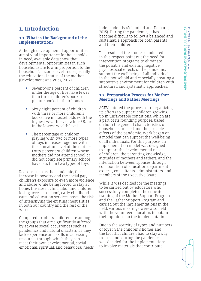# <span id="page-4-0"></span>**1. Introduction**

#### **1.1. What is the Background of the Implementation?**

Although developmental opportunities are of vital importance for households in need, available data show that developmental opportunities in such households are low in proportion to the household's income level and especially the educational status of the mother (Development Analytics, 2017);

- **•** Seventy-one percent of children under the age of five have fewer than three children's books or picture books in their homes.
- **•** Sixty-eight percent of children with three or more children›s books live in households with the highest wealth level, while 6% are in the lowest wealth level.
- **•** The percentage of children playing with two or more types of toys increases together with the education level of the mother. Forty percent of children whose mothers did not attend school or did not complete primary school have less than two types of toys.

Reasons such as the pandemic, the increase in poverty and the social gap, children's exposure to even more violence and abuse while being forced to stay at home, the rise in child labor and children losing access to school, early childhood care and education services poses the risk of intensifying the existing inequalities in both our country and the rest of the world.

Compared to adults, children are among the groups that are significantly affected by adverse social occurrences such as pandemics and natural disasters, as they lack experience and skills in accessing resources through which they can meet their own developmental, socialemotional, spiritual, and behavioral needs independently (Schonfeld and Demaria, 2015). During the pandemic, it has become difficult to follow a balanced and sustainable approach for both parents and their children.

The results of the studies conducted in this respect point out the need for intervention programs to eliminate the possible and existing negative psychosocial effects of the pandemic, support the well-being of all individuals in the household and especially creating a supportive environment for children with structured and systematic approaches.

#### **1.2. Preparation Process for Mother Meetings and Father Meetings**

AÇEV entered the process of reorganizing its efforts to support children growing up in unfavorable conditions, which are a part of its founding purpose, based on both the general characteristics of households in need and the possible effects of the pandemic. Work began on a model that can support the well-being of all individuals. For this purpose, an implementation model was designed to support the developmental needs of children, the parenting knowledge, attitudes of mothers and fathers, and the interaction between spouses through collaboration of education department experts, consultants, administrators, and members of the Executive Board.

While it was decided for the meetings to be carried out by educators who successfully completed the educator training of the Mother Support Program and the Father Support Program and carried out the implementations in the field, various meetings were also held with the volunteer educators to obtain their opinions on the implementation.

Due to the scarcity of types and numbers of toys in the children's homes and the fact that children had to stay away from school during the pandemic, it was decided for the implementations to involve materials that contribute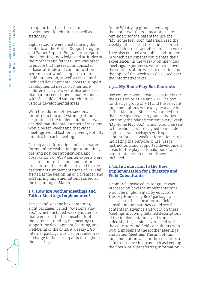<span id="page-5-0"></span>to supporting the different areas of development for children as well as stationery.

Eight sessions were created using the contents of the Mother Support Program and Father Support Program to support the parenting knowledge and attitudes of the mothers and fathers. Care was taken to ensure that the sessions consisted of basic attitude and communication sessions that would support parentchild interaction, as well as sessions that included developmental areas to support developmental needs. Furthermore, children's activities were also added so that parents could spend quality time with the child and support children's various developmental areas.

With the addition of two sessions for introduction and warm-up at the beginning of the implementation, it was decided that the total number of sessions would be ten weeks and that video meetings would last for an average of fifty minutes for each meeting.

Participant information and observation forms, online evaluation questionnaires, pre- and post-test applications, and observations of AÇEV center experts were used to monitor the implementation process and the results it created for the participants. Implementations of 2020 fall started at the beginning of November, and 2021 spring implementations started at the beginning of March.

#### **1.3. How are Mother Meetings and Father Meetings Implemented?**

The second was the box containing eight packages, called "My Home Play Box", which included weekly materials that were sent to the households of the parents attending the meetings to support the development, learning, and well-being of the child. A weekly 1 GB internet package was also provided free of charge to the participants throughout the meetings.

In the WhatsApp groups involving the mothers/fathers, educators made reminders for the parents to use the "My Home Play Box" materials, read the weekly information text, and perform the special children's activities for each week. They also created a suitable environment in which participants could share their experiences. In the weekly online video meetings, experiences were shared over the contents of the week in question and the topic of the week was discussed over the informative texts.

# **1.3.1. My Home Play Box Contents**

Box contents were created separately for the age groups of 3-6 and 7-11. The box for the age group of 7-11 and the relevant implementations were only available for Father Meetings. Since it was aimed for the participants to carry out activities with only the related content every week, "My Home Play Box", which would be sent to households, was designed to include eight separate packages with special content for each week. Information cards indicating the purpose of use, usage instructions, and supported development areas for the play materials, books and parent interaction materials were also included.

#### **1.3.2. Introduction to the New Implementation for Educators and Field Consultants**

A comprehensive educator guide was prepared on how the implementations would be implemented by educators. The "My Home Play Box" package was also sent to the educators and field consultants so that they could see the contents in advance and work on these. Meetings involving detailed descriptions of the implementations and sample video sharing sessions were held with the educators and field consultants who would implement the Mother Meetings and Father Meetings. The aim of this implementation was for the educators to gain experience in areas such as keeping the flow while transferring information

ဖ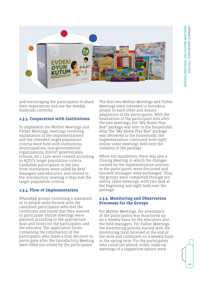<span id="page-6-0"></span>

and encouraging the participants to share their experiences and use the weekly materials correctly.

#### **1.3.3. Cooperation with Institutions**

To implement the Mother Meetings and Father Meetings, meetings involving explanation of the implementations and the intended target population criteria were held with institutions (municipalities, non-governmental organizations, district governorates, schools, etc.). Lists were created according to AÇEV's target population criteria. Candidate participants in the lists from institutions were called by field managers and educators and invited to the introductory meeting if they met the target population criteria.

# **1.3.4. Flow of Implementation**

WhatsApp groups consisting a maximum of 14 people were formed with the candidate participants who met the conditions and stated that they wanted to participate. Online meetings were planned according to the appropriate days and hours for the participants and the educator. The application forms containing the information of the participants who made a final decision to participate after the Introductory Meeting were filled out online by the participants.

The first two Mother Meetings and Father Meetings were intended to introduce people to each other and ensure adaptation of the participants. With the finalization of the participant lists after the two meetings, the "My Home Play Box" package was sent to the households. After the "My Home Play Box" package was delivered to the households, the implementation continued with eight online video meetings held over the contents of the package.

While not mandatory, there was also a Closing Meeting in which the changes created by the implementation process in the participants were discussed and farewell messages were exchanged. Thus, the groups were completed through ten online video meetings, with two held at the beginning and eight held over the package.

#### **1.3.5. Monitoring and Observation Processes for the Groups**

For Mother Meetings, the attendance of the participants was monitored up on a weekly basis by the educators and the field managers. For Father Meetings, the monitoring process started with the monitoring form received at the end of the term and continued on a weekly basis in the spring term. For the participants who could not attend, either make-up meetings of a supportive nature were

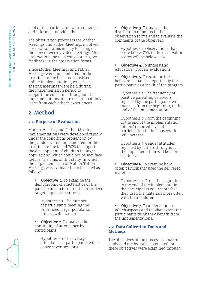<span id="page-7-0"></span>held or the participants were contacted and informed individually.

The observation processes for Mother Meetings and Father Meetings involved observation forms mostly focusing on the flow of weekly video meetings. After observation, the field consultants gave feedback via the observation forms.

Since Mother Meetings and Father Meetings were implemented for the first time in the field and consisted online implementations, experiencesharing meetings were held during the implementation period to support the educators throughout the implementations and to ensure that they learn from each other's experiences.

# **2. Method**

# **2.1. Purpose of Evaluation**

Mother Meeting and Father Meeting implementations were developed rapidly under the conditions brought on by the pandemic and implemented for the first time in the fall of 2020 to support the development of children in target populations, which could not be met faceto-face. The aims of this study, in which the implementation of Mother/Father Meetings was evaluated, can be listed as follows:

**•** Objective 1. To examine the demographic characteristics of the participants in terms of the prioritized target population criteria.

Hypothesis 1. The number of participants meeting the prioritized target population criteria will increase.

**Objective 2.** To analyze the continuity of attendance by participants.

> Hypothesis 1. The average attendance of participants will be above seven sessions.

**•** Objective 3. To analyze the distribution of points in the observation forms and to evaluate the comments of the observers.

Hypothesis 1. Observations that score below 70% in the observation scores will be below 15%.

**Objective 4. To understand** educators` process evaluations.

**•** Objective 5. To examine the behavioral changes reported by the participants as a result of the program.

Hypothesis 1. The frequency of positive parenting behaviors reported by the participants will increase from the beginning to the end of the implementation

Hypothesis 2. From the beginning to the end of the implementation, fathers' reported level of participation in the housework will increase.

Hypothesis 3. Gender attitudes reported by fathers throughout the implementation will be more egalitarian.

**Objective 6.** To examine how often participants used the delivered materials.

Hypothesis 1. From the beginning to the end of the implementation, the participants will report that they used the materials more often with their children.

**•** Objective 7. To understand in which aspects and to what extent the participants think they benefit from the implementations.

# **2.2. Data Collection Tools and Methods**

The objectives of the process evaluation study and the hypotheses created for these objectives were examined through

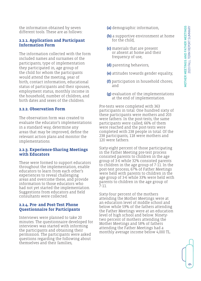<span id="page-8-0"></span>the information obtained by seven different tools. These are as follows:

#### **2.2.1. Application and Participant Information Form**

The information collected with the form included names and surnames of the participants, type of implementation they participated in, age group of the child for whom the participants would attend the meeting, year of birth, contact information, educational status of participants and their spouses, employment status, monthly income in the household, number of children, and birth dates and sexes of the children.

# **2.2.2. Observation Form**

The observation form was created to evaluate the educator's implementations in a standard way, determine any areas that may be improved, define the relevant action plans and monitor the implementations.

#### **2.2.3. Experience-Sharing Meetings with Educators**

These were formed to support educators throughout the implementation, enable educators to learn from each other's experiences to reveal challenging areas and overcome these, and provide information to those educators who had not yet started the implementation. Suggestions from educators and field consultants were collected.

#### **2.2.4. Pre- and Post-Test Phone Questionnaire for Participants**

Interviews were planned to take 20 minutes. The questionnaire developed for interviews was started with informing the participants and obtaining their permission. The participants were asked questions regarding the following about themselves and their families,

- **(a)** demographic information,
- **(b)** a supportive environment at home for the child,
- **(c)** materials that are present or absent at home and their frequency of use,
- **(d)** parenting behaviors,
- **(e)** attitudes towards gender equality,
- **(f)** participation in household chores; and
- **(g)** evaluation of the implementations at the end of implementation.

Pre-tests were completed with 363 participants in total. One hundred sixty of these participants were mothers and 203 were fathers. In the post-tests, the same participants were called; 66% of them were reached and the post-tests were completed with 238 people in total. Of the 238 participants, 118 were mothers and 120 were fathers.

Sixty-eight percent of those participating in the Father Meeting pre-test process consisted parents to children in the age group of 3-6 while 32% consisted parents to children in the age group of 7-11. In the post-test process, 67% of Father Meetings were held with parents to children in the age group of 3-6 while 33% were held with parents to children in the age group of 7-11.

Sixty-four percent of the mothers attending the Mother Meetings were at an education level of middle school and below while 59% of the fathers attending the Father Meetings were at an education level of high school and below. Ninetytwo percent of mothers attending the Mother Meetings and 58% of fathers attending the Father Meetings had a monthly average income below 4,000 TL.

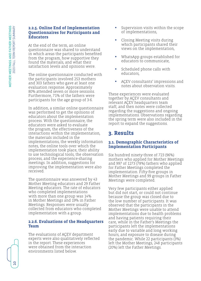#### <span id="page-9-0"></span>**2.2.5. Online End of Implementation Questionnaires for Participants and Educators**

At the end of the term, an online questionnaire was shared to understand in which areas the participants benefited from the program, how supportive they found the materials, and what their satisfaction levels and opinions were.

The online questionnaire conducted with the participants involved 253 mothers and 303 fathers who gave at least one evaluation response. Approximately 80% attended seven or more sessions. Furthermore, 71% of the fathers were participants for the age group of 3-6.

In addition, a similar online questionnaire was performed to get the opinions of educators about the implementation process. With the questionnaire, the educators were asked to evaluate the program, the effectiveness of the interactions within the implementation, the materials included in the implementations, the weekly information notes, the online tools over which the implementation took place, their ability to use technological tools, the observation process, and the experience-sharing meetings. In addition, suggestions for improving the implementation were also received.

The questionnaire was answered by 43 Mother Meeting educators and 29 Father Meeting educators. The rate of educators who completed implementations with more than one group was 14% in Mother Meetings and 19% in Father Meetings. Responses were usually collected from educators who completed implementation with a group.

#### **2.2.6. Evaluations of the Headquarters Team**

The evaluations of AÇEV department experts were also qualitatively reflected in the report. These experiences were obtained from the interaction environments listed below.

- **•** Supervision visits within the scope of implementations,
- **•** Closing Meeting visits during which participants shared their views on the implementation,
- **•** WhatsApp groups established for educators to communicate,
- **•** Scheduled phone calls with educators,
- **•** AÇEV consultants' impressions and notes about observation visits.

These experiences were evaluated together by AÇEV consultants and relevant AÇEV headquarters team staff, and then notes were collected regarding the suggestions and ongoing implementations. Observations regarding the spring term were also included in the report to expand the suggestions.

# **3. Results**

# **3.1. Demographic Characteristics of Implementation Participants**

Six hundred ninety-three of 723 (96%) mothers who applied for Mother Meetings and 997 of 1273 (78%) fathers who applied for Father Meetings completed the implementation. Fifty-five groups in Mother Meetings and 99 groups in Father Meetings were completed.

Very few participants either applied but did not start, or could not continue because the group was closed due to the low number of participants. It was observed that the participants in the Mother Meetings were unable to attend implementations due to health problems and having patients requiring their care, while in the Father's Meetings the participants left the implementations early due to variable and long working hours, and exposure to disease during the pandemic. While 22 participants (3%) left the Mother Meetings, 248 participants (20%) left the Father Meetings.

 $\rm{O}$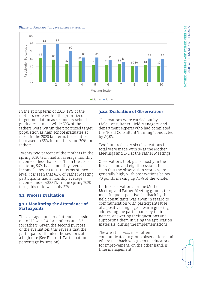#### <span id="page-10-0"></span>Figure 1. Participation percentage by session



In the spring term of 2020, 19% of the mothers were within the prioritized target population as secondary school graduates at most while 50% of the fathers were within the prioritized target population as high school graduates at most. In the 2020 fall term, these ratios increased to 65% for mothers and 70% for fathers.

Twenty-two percent of the mothers in the spring 2020 term had an average monthly income of less than 3000 TL. In the 2020 fall term, 56% had a monthly average income below 2500 TL. In terms of income level, it is seen that 61% of Father Meeting participants had a monthly average income under 4000 TL. In the spring 2020 term, this ratio was only 32%.

#### **3.2. Process Evaluation**

#### **3.2.1 Monitoring the Attendance of Participants**

The average number of attended sessions out of 10 was 8.4 for mothers and 8.7 for fathers. Given the second purpose of the evaluation, this reveals that the participants attended the sessions at a high rate (See Figure 1. Participation percentage by session).

#### **3.2.2. Evaluation of Observations**

Observations were carried out by Field Consultants, Field Managers, and department experts who had completed the "Field Consultant Training" conducted by ACEV.

Two hundred sixty-six observations in total were made with 94 at the Mother Meetings and 172 at the Father Meetings.

Observations took place mostly in the first, second and eighth sessions. It is seen that the observation scores were generally high, with observations below 70 points making up 7.5% of the whole.

In the observations for the Mother Meeting and Father Meeting groups, the most frequent positive feedback by the field consultants was given in regard to communication with participants (use of a positive language, a warm greeting, addressing the participants by their names, answering their questions and supporting them in using the application materials) during the implementations.

The area that was most often communicated in group observations and where feedback was given to educators for improvement, on the other hand, is time management.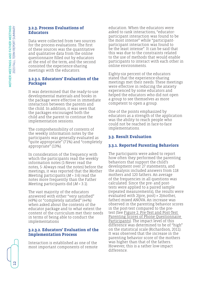# <span id="page-11-0"></span>**3.2.3. Process Evaluations of Educators**

Data were collected from two sources for the process evaluations. The first of these sources was the quantitative and qualitative data from the online questionnaire filled out by educators at the end of the term, and the second consisted the experience-sharing meetings with the educators.

# **3.2.3.1. Educators' Evaluation of the Packages**

It was determined that the ready-to-use developmental materials and books in the package were effective in immediate interaction between the parents and the child. In addition, it was seen that the packages encouraged both the child and the parent to continue the implementation sessions.

The comprehensibility of contents of the weekly information notes by the participants was generally evaluated as "quite appropriate" (71%) and "completely appropriate" (13%).

In consideration of the frequency with which the participants read the weekly information notes (1-Never read the notes, 5- Always read the notes) before the meetings, it was reported that the Mother Meeting participants ( $M$  = 3.6) read the notes more frequently than the Father Meeting participants did  $(M = 3.1)$ .

The vast majority of the educators answered with either "very satisfied" (49%) or "completely satisfied" (44%) when asked about the contents of the educator package and to what extent the content of the curriculum met their needs in terms of being able to conduct the implementations

# **3.2.3.2. Educators' Evaluation of the Implementation Process**

Interaction is established as one of the most important components of remote education. When the educators were asked to rank interactions, "educatorparticipant interaction was found to be the most intense" while "participantparticipant interaction was found to be the least intense". It can be said that this was due to the constraints related to the use of methods that would enable participants to interact with each other in online environments.

Eighty-six percent of the educators stated that the experience-sharing meetings met their needs. These meetings were effective in reducing the anxiety experienced by some educators and helped the educators who did not open a group to see themselves as more competent to open a group.

One of the points emphasized by educators as a strength of the application was the ability to reach people who could not be reached in face-to-face implementations.

# **3.3. Result Evaluation**

# **3.3.1. Reported Parenting Behaviors**

The participants were asked to report how often they performed the parenting behaviors that support the child's development over 27 statements, and the analysis included answers from 118 mothers and 120 fathers. An average of the frequencies in all questions was calculated. Since the pre- and posttests were applied to a paired sample (repeated measurements), the results were evaluated with 2(pre, post) × 2(mother, father) mixed ANOVA. An increase was observed in the parenting behavior scores in the post-test compared to the pretest (See Figure 2. Pre-Test and Post-Test Parenting Scores of Phone Questionnaire Participants). The impact level of this difference was determined to be of "high" on the statistical scale (Richardson, 2011). It was observed that the increase in the parenting behavior score of the mothers was higher than that of the fathers. However, this is a rather low-impact difference.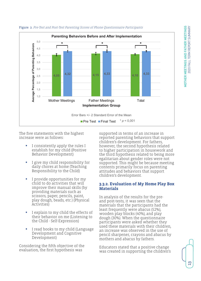

#### <span id="page-12-0"></span>Figure 2. Pre-Test and Post-Test Parenting Scores of Phone Questionnaire Participants

The five statements with the highest increase were as follows:

- **•** I consistently apply the rules I establish for my child (Positive Behavior Development)
- **•** I give my child responsibility for daily chores at home (Teaching Responsibility to the Child)
- **•** I provide opportunities for my child to do activities that will improve their manual skills (by providing materials such as scissors, paper, pencils, paint, play dough, beads, etc.) (Physical Activities)
- **•** I explain to my child the effects of their behavior on me (Listening to the Child - Self-Expression)
- **•** I read books to my child (Language Development and Cognitive Development)

Considering the fifth objective of the evaluation, the first hypothesis was

supported in terms of an increase in reported parenting behaviors that support children's development. For fathers, however, the second hypothesis related to higher participation in housework and the third hypothesis related to being more egalitarian about gender roles were not supported. This might be because meeting contents primarily focus on parenting attitudes and behaviors that support children's development.

#### **3.3.2. Evaluation of My Home Play Box Materials**

In analysis of the results for the preand post-tests, it was seen that the materials that the participants had the least frequently were abacus (52%), wooden play blocks (40%), and play dough (30%). When the questionnaire participants were asked whether they used these materials with their children, an increase was observed in the use of pencil sharpener, crayons and abacus by mothers and abacus by fathers.

Educators stated that a positive change was created in supporting the children's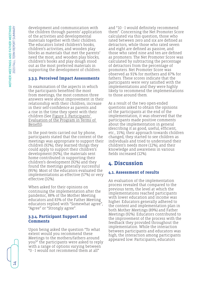<span id="page-13-0"></span>development and communication with the children through parents' application of the activities and developmental materials together with their children. The educators listed children's books, children's activities, and wooden play blocks as materials that met the parents' need the most, and wooden play blocks, children's books and play dough stood out as the most preferred materials in supporting the development of children.

# **3.3.3. Perceived Impact Assessments**

In examination of the aspects in which the participants benefited the most from meetings, the most common three answers were about improvement in their relationship with their children, increase in their self-confidence as parents and a rise in the time they spent with their children (See Figure 3. Participants' Evaluation of the Program in Terms of Benefit).

In the post-tests carried out by phone, participants stated that the content of the meetings was appropriate to support their children (92%), they learned things they could apply to support their children's development (92%), the materials sent home contributed in supporting their children's development (92%) and they found the meetings generally successful (95%). Most of the educators evaluated the implementations as effective (57%) or very effective (32%).

When asked for their opinions on continuing the implementation after the pandemic, 88% of the Mother Meeting educators and 83% of the Father Meeting educators replied with "Somewhat agree", "Agree" or "Strongly agree".

#### **3.3.4. Participant Support and Comments**

Upon being asked the question "To what extent would you recommend these Meetings to the mothers/fathers around you?" the participants were asked to reply with a range of options varying between "0 - I would not recommend them at all"

and "10 - I would definitely recommend them". Concerning the Net Promoter Score calculated via this question, those who rated between zero and six are defined as detractors, while those who rated seven and eight are defined as passive, and those who rated nine and ten are defined as promoters. The Net Promoter Score was calculated by subtracting the percentage of detractors from the percentage of promoters. Net Promoter Score was observed as 91% for mothers and 87% for fathers. These scores indicate that the participants were very satisfied with the implementations and they were highly likely to recommend the implementations to those around them.

As a result of the two open-ended questions asked to obtain the opinions of the participants at the end of the implementation, it was observed that the participants made positive comments about the implementation in general (describing it as good, useful, efficient, etc., 15%), their approach towards children changed, they started to see children as individuals and tried to understand their children's needs more (12%), and their knowledge and awareness in various fields increased (12%).

# **4. Discussion**

# **4.1. Assessment of results**

An evaluation of the implementation process revealed that compared to the previous term, the level at which the implementations reached participants with lower education and income was higher. Educators generally adhered to the content and implementation plan in both Mother Meetings (89%) and Father Meetings (92%). Educators contributed to the improvement of the process with the feedback they provided throughout the implementation. While the interaction between participants and educators was high, the interaction among participants appeared low. Participants, educators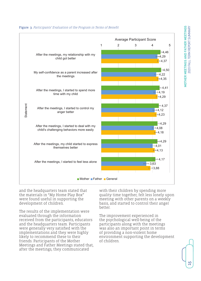

Figure 3. Participants' Evaluation of the Program in Terms of Benefit

and the headquarters team stated that the materials in "My Home Play Box" were found useful in supporting the development of children.

The results of the implementation were evaluated through the information received from the participants, educators and the headquarters team. Participants were generally very satisfied with the implementations and they were highly likely to recommend these to their friends. Participants of the Mother Meetings and Father Meetings stated that, after the meetings, they communicated

with their children by spending more quality time together, felt less lonely upon meeting with other parents on a weekly basis, and started to control their anger better.

The improvement experienced in the psychological well-being of the participants along with the meetings was also an important point in terms of providing a non-violent home environment supporting the development of children.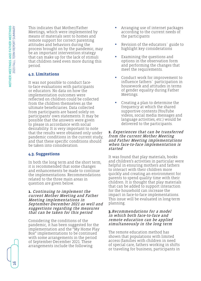<span id="page-15-0"></span>This indicates that Mother/Father Meetings, which were implemented by means of materials sent to homes and remote support for correct parenting attitudes and behaviors during the process brought on by the pandemic, may be an important intervention strategy that can make up for the lack of stimuli that children need even more during this period.

# **4.2. Limitations**

It was not possible to conduct faceto-face evaluations with participants or educators. No data on how the implementation outcomes were reflected on children could be collected from the children themselves as the ultimate beneficiaries. Data collected from participants are based solely on participants' own statements. It may be possible that the answers were given to please in accordance with social desirability. It is very important to note that the results were obtained only under pandemic conditions in the current study, and that these specific conditions should be taken into consideration.

# **4.3. Suggestions**

In both the long term and the short term, it is recommended that some changes and enhancements be made to continue the implementations. Recommendations related to the three main areas in question are given below.

#### **1.** Continuing to implement the current Mother Meeting and Father Meeting implementations in September-December 2021 as well and suggestions regarding the measures that can be taken for this period

Considering the conditions of the pandemic, it has been suggested for the implementation and the "My Home Play Box" implementations to be continued with some arrangements in the period of September-December 2021. These arrangements include the following:

- **•** Arranging use of internet packages according to the current needs of the participants
- **•** Revision of the educators` guide to highlight key considerations
- **•** Examining the questions and options in the observation form and performing the changes that meet the requirements.
- **•** Conduct work for improvement to influence fathers` participation in housework and attitudes in terms of gender equality during Father Meetings.
- **•** Creating a plan to determine the frequency at which the shared supportive contents (YouTube videos, social media messages and language activities, etc.) would be delivered to the participants.

#### **2.** Experiences that can be transferred from the current Mother Meeting and Father Meeting implementations when face-to-face implementation is started

It was found that play materials, books and children's activities in particular were helpful in ensuring mothers and fathers to interact with their children more quickly and creating an environment for parents to spend quality time with their children. It is thought that play materials that can be added to support interaction for the household can increase the impact in face-to-face implementations. This issue will be evaluated in long-term planning.

#### **3.**Recommendations for a model in which both face-to-face and remote education can be applied simultaneously in the long term

The remote education method has shown that populations with limited access (families with children in need of special care, fathers working in shifts or traveling for business, participants in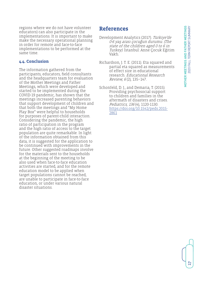<u>ነገ</u>

<span id="page-16-0"></span>regions where we do not have volunteer educators) can also participate in the implementations. It is important to make make the necessary operational planning in order for remote and face-to-face implementations to be performed at the same time.

#### **4.4. Conclusion**

The information gathered from the participants, educators, field consultants and the headquarters team for evaluation of the Mother Meetings and Father Meetings, which were developed and started to be implemented during the COVID-19 pandemic, has shown that the meetings increased parenting behaviors that support development of children and that both the meetings and "My Home Play Box" were helpful to households for purposes of parent-child interaction. Considering the pandemic, the high ratio of participation in the program and the high ratio of access to the target population are quite remarkable. In light of the information obtained from this data, it is suggested for the application to be continued with improvements in the future. Other suggested roadmaps involve for the materials sent to the households at the beginning of the meeting to be also used when face-to-face education activities are started, and for the remote education model to be applied when target populations cannot be reached, are unable to participate in face-to-face education, or under various natural disaster situations.

# **References**

- Development Analytics (2017). Türkiye'de 0-6 yaş arası çocuğun durumu. (The state of the children aged 0 to 6 in Turkey). İstanbul: Anne Çocuk Eğitim Vakfı.
- Richardson, J. T. E. (2011). Eta squared and partial eta squared as measurements of effect size in educational research. Educational Research Review, 6 (2), 135–147.
- Schonfeld, D. J., and Demaria, T. (2015). Providing psychosocial support to children and families in the aftermath of disasters and crises. Pediatrics, 136 (4), 1120-1130. [https://doi.org/10.1542/peds.2015-](https://doi.org/10.1542/peds.2015-2861) [2861](https://doi.org/10.1542/peds.2015-2861)